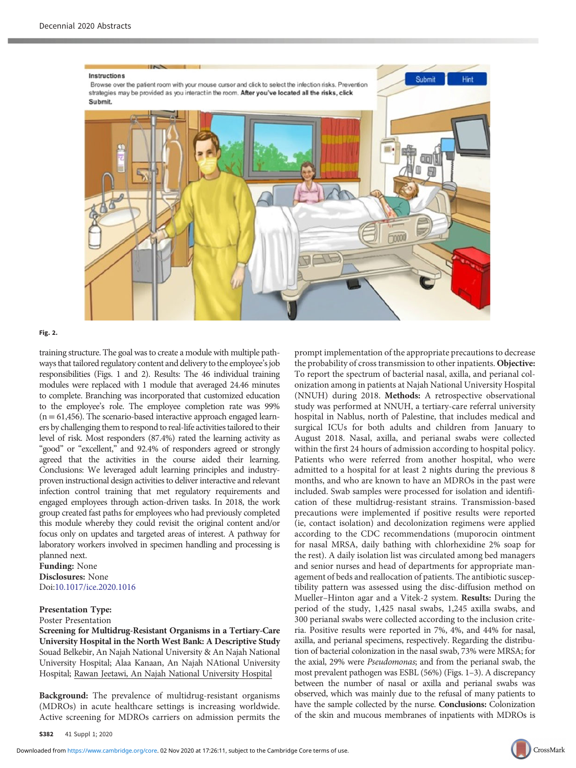

## Fig. 2.

training structure. The goal was to create a module with multiple pathways that tailored regulatory content and delivery to the employee's job responsibilities (Figs. 1 and 2). Results: The 46 individual training modules were replaced with 1 module that averaged 24.46 minutes to complete. Branching was incorporated that customized education to the employee's role. The employee completion rate was 99%  $(n = 61, 456)$ . The scenario-based interactive approach engaged learners by challenging them to respond to real-life activities tailored to their level of risk. Most responders (87.4%) rated the learning activity as "good" or "excellent," and 92.4% of responders agreed or strongly agreed that the activities in the course aided their learning. Conclusions: We leveraged adult learning principles and industryproven instructional design activities to deliver interactive and relevant infection control training that met regulatory requirements and engaged employees through action-driven tasks. In 2018, the work group created fast paths for employees who had previously completed this module whereby they could revisit the original content and/or focus only on updates and targeted areas of interest. A pathway for laboratory workers involved in specimen handling and processing is planned next.

Funding: None Disclosures: None Doi:[10.1017/ice.2020.1016](https://doi.org/10.1017/ice.2020.1016)

## Presentation Type: Poster Presentation

Screening for Multidrug-Resistant Organisms in a Tertiary-Care University Hospital in the North West Bank: A Descriptive Study Souad Belkebir, An Najah National University & An Najah National University Hospital; Alaa Kanaan, An Najah NAtional University Hospital; Rawan Jeetawi, An Najah National University Hospital

Background: The prevalence of multidrug-resistant organisms (MDROs) in acute healthcare settings is increasing worldwide. Active screening for MDROs carriers on admission permits the

prompt implementation of the appropriate precautions to decrease the probability of cross transmission to other inpatients. Objective: To report the spectrum of bacterial nasal, axilla, and perianal colonization among in patients at Najah National University Hospital (NNUH) during 2018. Methods: A retrospective observational study was performed at NNUH, a tertiary-care referral university hospital in Nablus, north of Palestine, that includes medical and surgical ICUs for both adults and children from January to August 2018. Nasal, axilla, and perianal swabs were collected within the first 24 hours of admission according to hospital policy. Patients who were referred from another hospital, who were admitted to a hospital for at least 2 nights during the previous 8 months, and who are known to have an MDROs in the past were included. Swab samples were processed for isolation and identification of these multidrug-resistant strains. Transmission-based precautions were implemented if positive results were reported (ie, contact isolation) and decolonization regimens were applied according to the CDC recommendations (muporocin ointment for nasal MRSA, daily bathing with chlorhexidine 2% soap for the rest). A daily isolation list was circulated among bed managers and senior nurses and head of departments for appropriate management of beds and reallocation of patients. The antibiotic susceptibility pattern was assessed using the disc-diffusion method on Mueller–Hinton agar and a Vitek-2 system. Results: During the period of the study, 1,425 nasal swabs, 1,245 axilla swabs, and 300 perianal swabs were collected according to the inclusion criteria. Positive results were reported in 7%, 4%, and 44% for nasal, axilla, and perianal specimens, respectively. Regarding the distribution of bacterial colonization in the nasal swab, 73% were MRSA; for the axial, 29% were Pseudomonas; and from the perianal swab, the most prevalent pathogen was ESBL (56%) (Figs. 1–3). A discrepancy between the number of nasal or axilla and perianal swabs was observed, which was mainly due to the refusal of many patients to have the sample collected by the nurse. Conclusions: Colonization of the skin and mucous membranes of inpatients with MDROs is